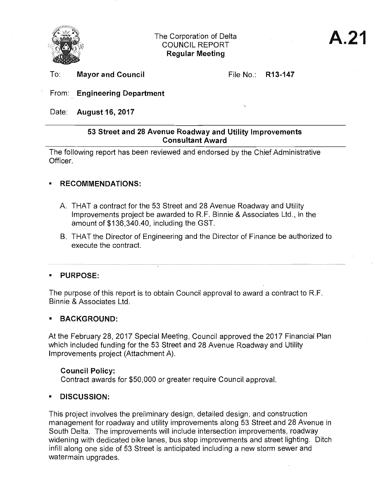

To: **Mayor and Council** 

File No.: **R13-147** 

~~---~~~

## From: **Engineering Department**

Date: **August16,2017** 

## **53 Street and 28 Avenue Roadway and Utility Improvements Consultant Award**

The following report has been reviewed and endorsed **by** the Chief Administrative Officer.

## **• RECOMMENDATIONS:**

- A. THAT a contract for the 53 Street and 28 Avenue Roadway and Utility Improvements project be awarded to R.F. Binnie & Associates Ltd., in the amount of \$136,340.40, including the GST.
- B. THAT the Director of Engineering and the Director of Finance be authorized to execute the contract.

## **• PURPOSE:**

The purpose of this report is to obtain Council approval to award a contract to R.F. Binnie & Associates Ltd.

## **• BACKGROUND:**

At the February 28, 2017 Special Meeting, Council approved the 2017 Financial Plan which included funding for the 53 Street and 28 Avenue Roadway and Utility Improvements project (Attachment A).

## **Council Policy:**

Contract awards for \$50,000 or greater require Council approval.

## **• DISCUSSION:**

This project involves the preliminary design, detailed design, and construction management for roadway and utility improvements along 53 Street and 28 Avenue in South Delta. The improvements will include intersection improvements, roadway widening with dedicated bike lanes, bus stop improvements and street lighting. Ditch infill along one side of 53 Street is anticipated including a new storm sewer and watermain upgrades.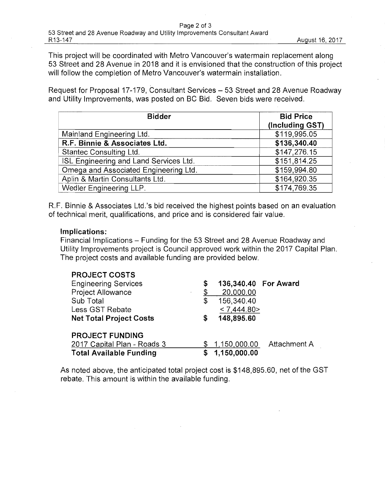This project will be coordinated with Metro Vancouver's watermain replacement along 53 Street and 28 Avenue in 2018 and it is envisioned that the construction of this project will follow the completion of Metro Vancouver's watermain installation.

Request for Proposal 17-179, Consultant Services - 53 Street and 28 Avenue Roadway and Utility Improvements, was posted on BC Bid. Seven bids were received.

| <b>Bidder</b>                          | <b>Bid Price</b><br>(Including GST) |
|----------------------------------------|-------------------------------------|
| Mainland Engineering Ltd.              | \$119,995.05                        |
| R.F. Binnie & Associates Ltd.          | \$136,340.40                        |
| Stantec Consulting Ltd.                | \$147,276.15                        |
| ISL Engineering and Land Services Ltd. | \$151,814.25                        |
| Omega and Associated Engineering Ltd.  | \$159,994.80                        |
| Aplin & Martin Consultants Ltd.        | \$164,920.35                        |
| Wedler Engineering LLP.                | \$174,769.35                        |

R.F. Binnie & Associates Ltd.'s bid received the highest points based on an evaluation of technical merit, qualifications, and price and is considered fair value.

## **Implications:**

Financial Implications - Funding for the 53 Street and 28 Avenue Roadway and Utility Improvements project is Council approved work within the 2017 Capital Plan. The project costs and available funding are provided below.

## **PROJECT COSTS**

| <b>Engineering Services</b>    | \$ | 136,340.40 For Award |              |
|--------------------------------|----|----------------------|--------------|
| Project Allowance              |    | 20,000.00            |              |
| Sub Total                      | \$ | 156,340.40           |              |
| Less GST Rebate                |    | < 7,444.80>          |              |
| <b>Net Total Project Costs</b> | S  | 148,895.60           |              |
| <b>PROJECT FUNDING</b>         |    |                      |              |
| 2017 Capital Plan - Roads 3    |    | \$1,150,000.00       | Attachment A |
| <b>Total Available Funding</b> |    | \$1,150,000.00       |              |

As noted above, the anticipated total project cost is \$148,895.60, net of the GST rebate. This amount is within the available funding.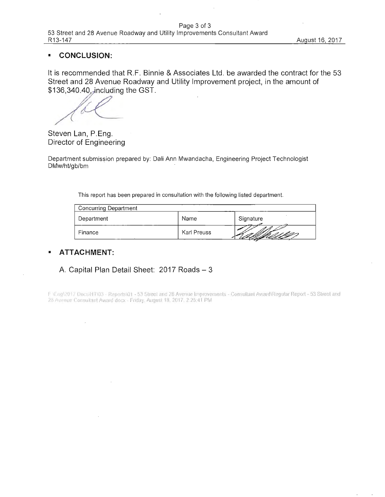#### **CONCLUSION:**  $\blacksquare$

It is recommended that R.F. Binnie & Associates Ltd. be awarded the contract for the 53 Street and 28 Avenue Roadway and Utility Improvement project, in the amount of \$136,340.40, including the GST.

Steven Lan, P.Eng. Director of Engineering

Department submission prepared by: Dali Ann Mwandacha, Engineering Project Technologist DMw/ht/gb/bm

This report has been prepared in consultation with the following listed department.

| <b>Concurring Department</b> |             |           |  |  |
|------------------------------|-------------|-----------|--|--|
| Department                   | Name        | Signature |  |  |
| Finance                      | Karl Preuss |           |  |  |

#### **ATTACHMENT:**  $\blacksquare$

## A. Capital Plan Detail Sheet: 2017 Roads - 3

F (Engl2017 Docs)HT\03 - Reports\01 - 53 Street and 28 Avenue Improvements - Consultant Award\Regular Report - 53 Street and 28 Avenue Consultant Award docx - Friday, August 18, 2017, 2:25:41 PM